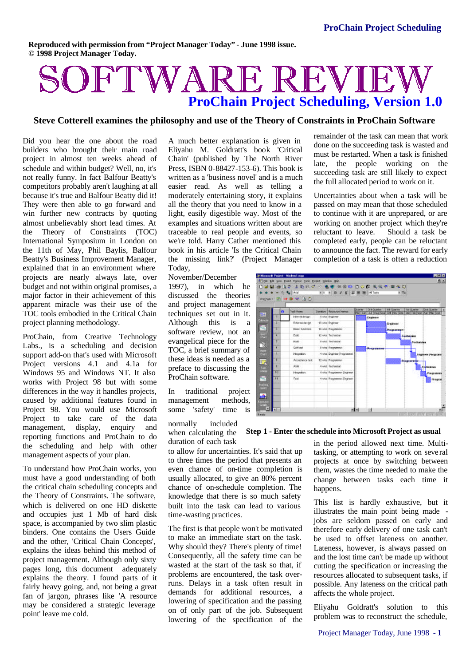**Reproduced with permission from "Project Manager Today" - June 1998 issue. © 1998 Project Manager Today.**

# SOFTWARE REVIE **ProChain Project Scheduling, Version 1.0**

## **Steve Cotterell examines the philosophy and use of the Theory of Constraints in ProChain Software**

Did you hear the one about the road builders who brought their main road project in almost ten weeks ahead of schedule and within budget? Well, no, it's not really funny. In fact Balfour Beatty's competitors probably aren't laughing at all because it's true and Balfour Beatty did it! They were then able to go forward and win further new contracts by quoting almost unbelievably short lead times. At the Theory of Constraints (TOC) International Symposium in London on the 11th of May, Phil Baylis, Balfour Beatty's Business Improvement Manager, explained that in an environment where projects are nearly always late, over budget and not within original promises, a major factor in their achievement of this apparent miracle was their use of the TOC tools embodied in the Critical Chain project planning methodology.

ProChain, from Creative Technology Labs., is a scheduling and decision support add-on that's used with Microsoft Project versions 4.1 and 4.1a for Windows 95 and Windows NT. It also works with Project 98 but with some differences in the way it handles projects, caused by additional features found in Project 98. You would use Microsoft Project to take care of the data management, display, enquiry and reporting functions and ProChain to do the scheduling and help with other management aspects of your plan.

To understand how ProChain works, you must have a good understanding of both the critical chain scheduling concepts and the Theory of Constraints. The software, which is delivered on one HD diskette and occupies just 1 Mb of hard disk space, is accompanied by two slim plastic binders. One contains the Users Guide and the other, 'Critical Chain Concepts', explains the ideas behind this method of project management. Although only sixty pages long, this document adequately explains the theory. I found parts of it fairly heavy going, and, not being a great fan of jargon, phrases like 'A resource may be considered a strategic leverage point' leave me cold.

A much better explanation is given in Eliyahu M. Goldratt's book 'Critical Chain' (published by The North River Press, ISBN 0-88427-153-6). This book is written as a 'business novel' and is a much easier read. As well as telling a moderately entertaining story, it explains all the theory that you need to know in a light, easily digestible way. Most of the examples and situations written about are traceable to real people and events, so we're told. Harry Cather mentioned this book in his article 'Is the Critical Chain the missing link?' (Project Manager Today,

November/December 1997), in which he discussed the theories and project management techniques set out in it. Although this is a software review, not an evangelical piece for the TOC, a brief summary of these ideas is needed as a preface to discussing the ProChain software.

In traditional project management methods, some 'safety' time is

normally included when calculating the duration of each task

to allow for uncertainties. It's said that up to three times the period that presents an even chance of on-time completion is usually allocated, to give an 80% percent chance of on-schedule completion. The knowledge that there is so much safety built into the task can lead to various time-wasting practices.

The first is that people won't be motivated to make an immediate start on the task. Why should they? There's plenty of time! Consequently, all the safety time can be wasted at the start of the task so that, if problems are encountered, the task overruns. Delays in a task often result in demands for additional resources, a lowering of specification and the passing on of only part of the job. Subsequent lowering of the specification of the

remainder of the task can mean that work done on the succeeding task is wasted and must be restarted. When a task is finished late, the people working on the succeeding task are still likely to expect the full allocated period to work on it.

Uncertainties about when a task will be passed on may mean that those scheduled to continue with it are unprepared, or are working on another project which they're<br>reluctant to leave. Should a task be reluctant to leave. completed early, people can be reluctant to announce the fact. The reward for early completion of a task is often a reduction



**Step 1 - Enter the schedule into Microsoft Project as usual**

in the period allowed next time. Multitasking, or attempting to work on several projects at once by switching between them, wastes the time needed to make the change between tasks each time it happens.

This list is hardly exhaustive, but it illustrates the main point being made jobs are seldom passed on early and therefore early delivery of one task can't be used to offset lateness on another. Lateness, however, is always passed on and the lost time can't be made up without cutting the specification or increasing the resources allocated to subsequent tasks, if possible. Any lateness on the critical path affects the whole project.

Eliyahu Goldratt's solution to this problem was to reconstruct the schedule,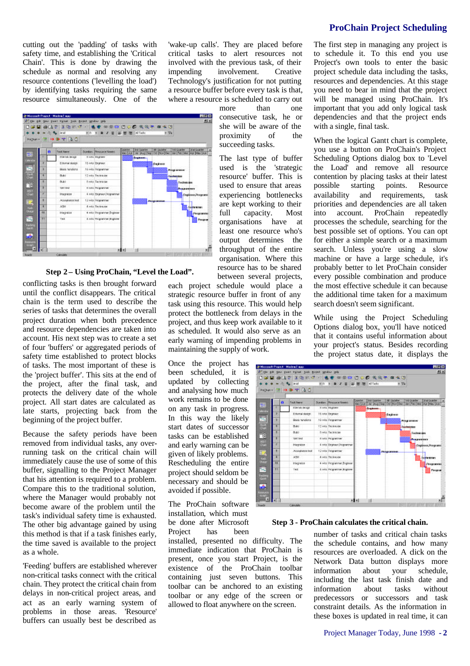## **ProChain Project Scheduling**

cutting out the 'padding' of tasks with safety time, and establishing the 'Critical Chain'. This is done by drawing the schedule as normal and resolving any resource contentions ('levelling the load') by identifying tasks requiring the same resource simultaneously. One of the

'wake-up calls'. They are placed before critical tasks to alert resources not involved with the previous task, of their impending involvement. Creative Technology's justification for not putting a resource buffer before every task is that, where a resource is scheduled to carry out more than one

開閉区 **Jo Microsoft Project - Marketi', noc** |口船国 雷尿性 ||2 (2)||2 (2)||2)||4 (8)||2)||2)||2 (8)||2)||2)||2)||2 (8)||2)||2)||2 (8)||2)||2 (8)||2)||  $......$ ×.  $\frac{1}{2}$  $|m p m|$  (iii)  $\bullet \bullet \pm 3$  0 Dunder Postale Service and Service and Service and Service Control of the Service Control of Service Control of Service Control of Service Control of Service Control of Service Control of Service Control of Service Control of Service Con  $\bullet$ **STATISTICS** 16 wis Engrave Ertemal destro tū ivis Properne Brick fundition  $0.61$ 12 mis Technicia  $\overline{a}$ Audio Technicia D. **SWITH ENGINEER Harvior** 4 mis Engineer Pros Engineer Pre (2 mia Programme E. Acceptance for A7M 4 arts Declinicas Highan 4 wis Programme Brg Programm e. Tell 4 ans Programmer Anglice **Throw** ø ad at **BYPPERINTER** 

## **Step 2 – Using ProChain, "Level the Load".**

conflicting tasks is then brought forward until the conflict disappears. The critical chain is the term used to describe the series of tasks that determines the overall project duration when both precedence and resource dependencies are taken into account. His next step was to create a set of four 'buffers' or aggregated periods of safety time established to protect blocks of tasks. The most important of these is the 'project buffer'. This sits at the end of the project, after the final task, and protects the delivery date of the whole project. All start dates are calculated as late starts, projecting back from the beginning of the project buffer.

Because the safety periods have been removed from individual tasks, any overrunning task on the critical chain will immediately cause the use of some of this buffer, signalling to the Project Manager that his attention is required to a problem. Compare this to the traditional solution, where the Manager would probably not become aware of the problem until the task's individual safety time is exhausted. The other big advantage gained by using this method is that if a task finishes early, the time saved is available to the project as a whole.

'Feeding' buffers are established wherever non-critical tasks connect with the critical chain. They protect the critical chain from delays in non-critical project areas, and act as an early warning system of problems in those areas. 'Resource' buffers can usually best be described as



consecutive task, he or she will be aware of the proximity of the

The last type of buffer used is the 'strategic resource' buffer. This is

succeeding tasks.

task using this resource. This would help protect the bottleneck from delays in the project, and thus keep work available to it as scheduled. It would also serve as an early warning of impending problems in maintaining the supply of work.

Once the project has been scheduled, it is updated by collecting and analysing how much work remains to be done on any task in progress. In this way the likely start dates of successor tasks can be established and early warning can be given of likely problems. Rescheduling the entire project should seldom be necessary and should be avoided if possible.

The ProChain software installation, which must be done after Microsoft Project has been

installed, presented no difficulty. The immediate indication that ProChain is present, once you start Project, is the existence of the ProChain toolbar containing just seven buttons. This toolbar can be anchored to an existing toolbar or any edge of the screen or allowed to float anywhere on the screen.

The first step in managing any project is to schedule it. To this end you use Project's own tools to enter the basic project schedule data including the tasks, resources and dependencies. At this stage you need to bear in mind that the project will be managed using ProChain. It's important that you add only logical task dependencies and that the project ends with a single, final task.

When the logical Gantt chart is complete, you use a button on ProChain's Project Scheduling Options dialog box to 'Level the Load' and remove all resource contention by placing tasks at their latest possible starting points. Resource availability and requirements, task priorities and dependencies are all taken into account. ProChain repeatedly processes the schedule, searching for the best possible set of options. You can opt for either a simple search or a maximum search. Unless you're using a slow machine or have a large schedule, it's probably better to let ProChain consider every possible combination and produce the most effective schedule it can because the additional time taken for a maximum search doesn't seem significant.

While using the Project Scheduling Options dialog box, you'll have noticed that it contains useful information about your project's status. Besides recording the project status date, it displays the

| 甌                    | o   | Took Neare          | Durchery Pleasurer Newerk   | Dalleton | <b>Shill County Diret</b> | <b>ISV CAMPA</b> | 140 Guardia<br>May Juan Juan Mug Sep Oct Prov Dec   Bar   Patz Max Juan   Hay Juan | <b>Shift Council Dirt</b> |
|----------------------|-----|---------------------|-----------------------------|----------|---------------------------|------------------|------------------------------------------------------------------------------------|---------------------------|
| $-444.44$            |     | <b>EDITOR GREGE</b> | Il ivits integrate          |          | dramatic                  |                  |                                                                                    |                           |
|                      | э   | Edenal destro       | 16 min Etraneer             |          |                           | <b>Endnem</b>    |                                                                                    |                           |
| 22 M                 |     | Basic tunctions     | 19 Mis Programmer           |          |                           |                  | Ping areas                                                                         |                           |
|                      | ٠   | Phillod             | 12 wis Technician           |          |                           |                  | <b>Sechnizion</b>                                                                  |                           |
|                      |     | 0.85                | fi win Technician           |          |                           |                  | Technician                                                                         |                           |
| R.                   |     | 30911440            | <b>East Programmer</b>      |          |                           |                  | <b><i><u>Power and many</u></i></b>                                                |                           |
|                      | ٠   | <b>Integration</b>  | 4 ndg Engineer Programmer   |          |                           |                  |                                                                                    | Engineer Programs         |
|                      | ٠   | Acceptance feat     | 12 with Programmer          |          |                           | Рефракцион       |                                                                                    |                           |
| 馬                    |     | A75H                | 4 into Technician           |          |                           |                  |                                                                                    | <b>Toenreolen</b>         |
|                      | -10 | <b>Integrate</b>    | 4 wis Programme Brigineer   |          |                           |                  |                                                                                    | Programmed                |
| ē                    |     | THE                 | 4. INTS PROgrammer Brighton |          |                           |                  |                                                                                    | Pregnan                   |
|                      |     |                     |                             |          |                           |                  |                                                                                    |                           |
|                      |     |                     |                             |          |                           |                  |                                                                                    |                           |
| vedera<br>Gard<br>b. |     |                     |                             |          |                           |                  |                                                                                    |                           |

#### **Step 3 - ProChain calculates the critical chain.**

number of tasks and critical chain tasks the schedule contains, and how many resources are overloaded. A click on the Network Data button displays more information about your schedule, including the last task finish date and information about tasks without predecessors or successors and task constraint details. As the information in these boxes is updated in real time, it can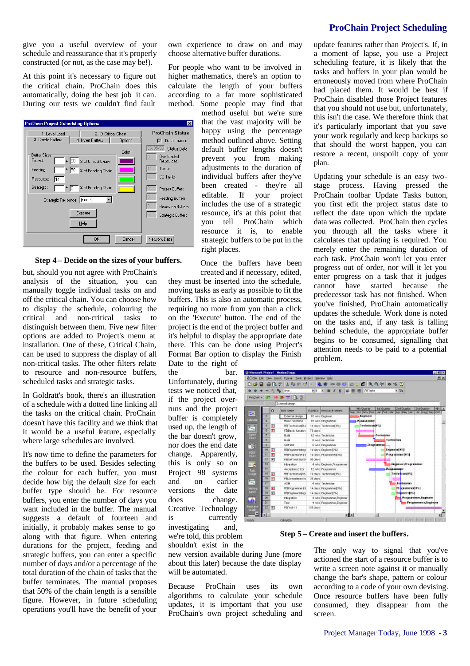**ProChain Project Scheduling**

give you a useful overview of your schedule and reassurance that it's properly constructed (or not, as the case may be!).

At this point it's necessary to figure out the critical chain. ProChain does this automatically, doing the best job it can. During our tests we couldn't find fault



### **Step 4 – Decide on the sizes of your buffers.**

but, should you not agree with ProChain's analysis of the situation, you can manually toggle individual tasks on and off the critical chain. You can choose how to display the schedule, colouring the critical and non-critical tasks to distinguish between them. Five new filter options are added to Project's menu at installation. One of these, Critical Chain, can be used to suppress the display of all non-critical tasks. The other filters relate to resource and non-resource buffers, scheduled tasks and strategic tasks.

In Goldratt's book, there's an illustration of a schedule with a dotted line linking all the tasks on the critical chain. ProChain doesn't have this facility and we think that it would be a useful feature, especially where large schedules are involved.

It's now time to define the parameters for the buffers to be used. Besides selecting the colour for each buffer, you must decide how big the default size for each buffer type should be. For resource buffers, you enter the number of days you want included in the buffer. The manual suggests a default of fourteen and initially, it probably makes sense to go along with that figure. When entering durations for the project, feeding and strategic buffers, you can enter a specific number of days and/or a percentage of the total duration of the chain of tasks that the buffer terminates. The manual proposes that 50% of the chain length is a sensible figure. However, in future scheduling operations you'll have the benefit of your

own experience to draw on and may choose alternative buffer durations.

For people who want to be involved in higher mathematics, there's an option to calculate the length of your buffers according to a far more sophisticated method. Some people may find that

method useful but we're sure that the vast majority will be happy using the percentage method outlined above. Setting default buffer lengths doesn't prevent you from making adjustments to the duration of individual buffers after they've been created - they're all editable. If your project includes the use of a strategic resource, it's at this point that you tell ProChain which resource it is, to enable strategic buffers to be put in the right places.

Once the buffers have been created and if necessary, edited, they must be inserted into the schedule, moving tasks as early as possible to fit the buffers. This is also an automatic process, requiring no more from you than a click on the 'Execute' button. The end of the project is the end of the project buffer and it's helpful to display the appropriate date there. This can be done using Project's Format Bar option to display the Finish

Date to the right of the bar.

Unfortunately, during tests we noticed that, if the project overruns and the project buffer is completely used up, the length of the bar doesn't grow, nor does the end date change. Apparently, this is only so on Project 98 systems and on earlier versions the date does change. Creative Technology is currently investigating and,

we're told, this problem shouldn't exist in the

new version available during June (more about this later) because the date display will be automated.

Because ProChain uses its own algorithms to calculate your schedule updates, it is important that you use ProChain's own project scheduling and update features rather than Project's. If, in a moment of lapse, you use a Project scheduling feature, it is likely that the tasks and buffers in your plan would be erroneously moved from where ProChain had placed them. It would be best if ProChain disabled those Project features that you should not use but, unfortunately, this isn't the case. We therefore think that it's particularly important that you save your work regularly and keep backups so that should the worst happen, you can restore a recent, unspoilt copy of your plan.

Updating your schedule is an easy twostage process. Having pressed the ProChain toolbar Update Tasks button, you first edit the project status date to reflect the date upon which the update data was collected. ProChain then cycles you through all the tasks where it calculates that updating is required. You merely enter the remaining duration of each task. ProChain won't let you enter progress out of order, nor will it let you enter progress on a task that it judges cannot have started because the predecessor task has not finished. When you've finished, ProChain automatically updates the schedule. Work done is noted on the tasks and, if any task is falling behind schedule, the appropriate buffer begins to be consumed, signalling that attention needs to be paid to a potential problem.

|                 |                 |                      | 20 Pa And                   | 955 WE         | Ⅱ/Ⅱ 正置 图                     | All Teaks         |                    |            | <b>R-72a</b>                 |                                                                          |     |
|-----------------|-----------------|----------------------|-----------------------------|----------------|------------------------------|-------------------|--------------------|------------|------------------------------|--------------------------------------------------------------------------|-----|
| Program+1       |                 |                      | $x \rightarrow x + 30$      |                |                              |                   |                    |            |                              |                                                                          |     |
|                 |                 |                      | External design             |                |                              |                   |                    |            |                              |                                                                          |     |
| 骺               |                 | o                    | Test Final                  |                | Diadlos Resource hanes       | <b>41 Guarter</b> | <b>Tat Guartar</b> |            | 2nd Guarter                  | 3rd Quarter<br>See Oct Prov Dec Jum Pes We Hot Mey Jum Jul 1420 Sep Oct- | 横浜市 |
|                 | ×               |                      | External design             |                | 15 wer Engineer              | <b>Engineer</b>   |                    |            |                              |                                                                          |     |
| Colorida        |                 |                      | Basic functions             |                | 15 year Programmer           | يحصص والمتراسلة   |                    |            |                              |                                                                          |     |
| 冨               |                 | Ŧ                    | POTechnicianELL             |                | 14 days: Technisian(3%)      | Technician (FI-)  |                    |            |                              |                                                                          |     |
|                 |                 | Ð                    | <b><i>FEBATE Medion</i></b> | 73 days:       |                              |                   |                    |            |                              |                                                                          |     |
| 靏               |                 |                      | Guida                       |                | 12 with Technician           |                   | <b>Technician</b>  |            |                              |                                                                          |     |
|                 | ь               |                      | Guild                       |                | <b>Broke Techniqies</b>      |                   |                    | Tochodelan |                              |                                                                          |     |
| "说              | ü               |                      | Self Seit                   |                | E WAS PROGRAMMY              |                   | <b>Drogrammer</b>  |            |                              |                                                                          |     |
|                 | 10              | $\overline{\bullet}$ | FREE-Scotcher States        |                | 14 days: Esginew 0%1         |                   |                    |            | <b>Engineer[Fill</b> ]       |                                                                          |     |
| PORT<br>Charl   |                 | m                    | <b>PREPAGE ARM OF \$10</b>  |                | 14 dilute Programmer (ON)    |                   |                    |            | Programmer(M5)               |                                                                          |     |
|                 | 12              | 司                    | PERSON THE JUNEAU           | <b>BB GAMA</b> |                              |                   |                    |            |                              |                                                                          |     |
| 嗎               | 10              |                      | Information                 |                | 4 wird. Engineer Provacement |                   |                    |            | <b>Jinginson Programment</b> |                                                                          |     |
|                 | $\overline{14}$ |                      | Acceptance leat             |                | 12 wis Pragment              |                   |                    |            | <b>Programmer</b>            |                                                                          |     |
|                 | π               | W)                   | FRIT notmicked AS           |                | 14 days Technician PST       |                   |                    |            | Learne is an include         |                                                                          |     |
|                 | <b>TE</b>       | 斷                    | PEMcrophaneo fol            | 30 days:       |                              |                   |                    |            |                              |                                                                          |     |
| æ               | $\overline{1}$  |                      | ASM                         |                | 4 year Technisian            |                   |                    |            | Technology                   |                                                                          |     |
| <b>Children</b> | 18              | Ŧ                    | FREE converter for          |                | 14 days: Programmer(O%)      |                   |                    |            | Programmer[Fiv]              |                                                                          |     |
| الأنتان         | 18              | m                    | <b>FOC</b> soles in this of |                | 14 days: Engineer(0%)        |                   |                    |            | Engineer [914]               |                                                                          |     |
| A               | 20              |                      | Indegration:                |                | 4 with Programmar Engineer   |                   |                    |            |                              | Programmen. Dagineer                                                     |     |
|                 | 3ť              |                      | Test                        |                | 4 will Programmer Engineer   |                   |                    |            |                              | Programmer, Engineer                                                     |     |
| <b>COLA</b>     | 22              | $\overline{a}$       | FBI loat-11                 | 153 days       |                              |                   |                    |            |                              |                                                                          |     |

**Step 5 – Create and insert the buffers.**

The only way to signal that you've actioned the start of a resource buffer is to write a screen note against it or manually change the bar's shape, pattern or colour according to a code of your own devising. Once resource buffers have been fully consumed, they disappear from the screen.